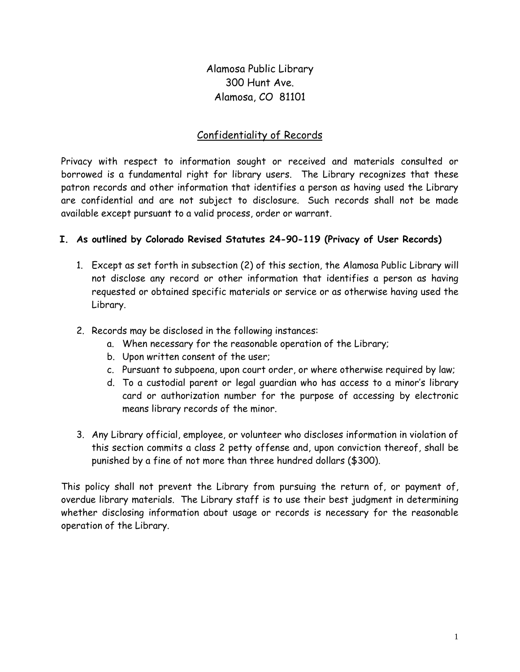Alamosa Public Library 300 Hunt Ave. Alamosa, CO 81101

# Confidentiality of Records

Privacy with respect to information sought or received and materials consulted or borrowed is a fundamental right for library users. The Library recognizes that these patron records and other information that identifies a person as having used the Library are confidential and are not subject to disclosure. Such records shall not be made available except pursuant to a valid process, order or warrant.

### **I. As outlined by Colorado Revised Statutes 24-90-119 (Privacy of User Records)**

- 1. Except as set forth in subsection (2) of this section, the Alamosa Public Library will not disclose any record or other information that identifies a person as having requested or obtained specific materials or service or as otherwise having used the Library.
- 2. Records may be disclosed in the following instances:
	- a. When necessary for the reasonable operation of the Library;
	- b. Upon written consent of the user;
	- c. Pursuant to subpoena, upon court order, or where otherwise required by law;
	- d. To a custodial parent or legal guardian who has access to a minor's library card or authorization number for the purpose of accessing by electronic means library records of the minor.
- 3. Any Library official, employee, or volunteer who discloses information in violation of this section commits a class 2 petty offense and, upon conviction thereof, shall be punished by a fine of not more than three hundred dollars (\$300).

This policy shall not prevent the Library from pursuing the return of, or payment of, overdue library materials. The Library staff is to use their best judgment in determining whether disclosing information about usage or records is necessary for the reasonable operation of the Library.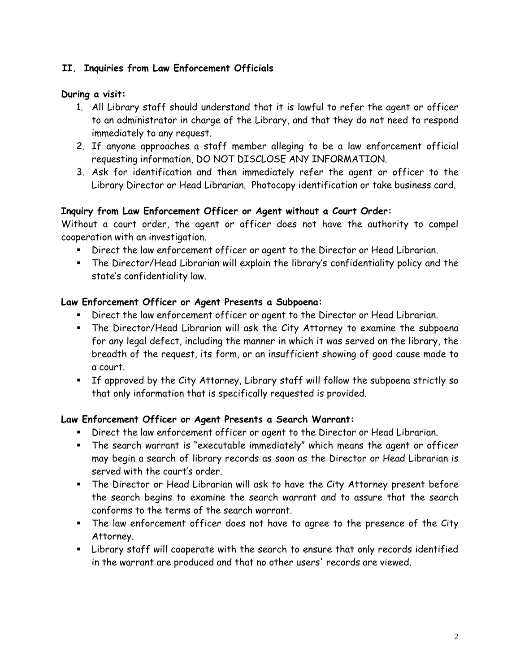### **II. Inquiries from Law Enforcement Officials**

#### **During a visit:**

- 1. All Library staff should understand that it is lawful to refer the agent or officer to an administrator in charge of the Library, and that they do not need to respond immediately to any request.
- 2. If anyone approaches a staff member alleging to be a law enforcement official requesting information, DO NOT DISCLOSE ANY INFORMATION.
- 3. Ask for identification and then immediately refer the agent or officer to the Library Director or Head Librarian. Photocopy identification or take business card.

### **Inquiry from Law Enforcement Officer or Agent without a Court Order:**

Without a court order, the agent or officer does not have the authority to compel cooperation with an investigation.

- Direct the law enforcement officer or agent to the Director or Head Librarian.
- The Director/Head Librarian will explain the library's confidentiality policy and the state's confidentiality law.

### **Law Enforcement Officer or Agent Presents a Subpoena:**

- Direct the law enforcement officer or agent to the Director or Head Librarian.
- The Director/Head Librarian will ask the City Attorney to examine the subpoena for any legal defect, including the manner in which it was served on the library, the breadth of the request, its form, or an insufficient showing of good cause made to a court.
- If approved by the City Attorney, Library staff will follow the subpoena strictly so that only information that is specifically requested is provided.

### **Law Enforcement Officer or Agent Presents a Search Warrant:**

- Direct the law enforcement officer or agent to the Director or Head Librarian.
- The search warrant is "executable immediately" which means the agent or officer may begin a search of library records as soon as the Director or Head Librarian is served with the court's order.
- The Director or Head Librarian will ask to have the City Attorney present before the search begins to examine the search warrant and to assure that the search conforms to the terms of the search warrant.
- The law enforcement officer does not have to agree to the presence of the City Attorney.
- Library staff will cooperate with the search to ensure that only records identified in the warrant are produced and that no other users' records are viewed.